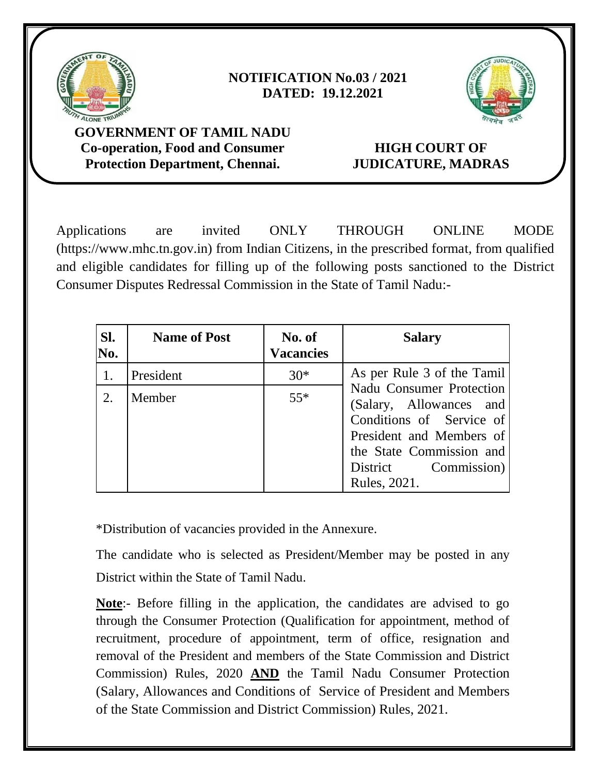

# **NOTIFICATION No.03 / 2021 DATED: 19.12.2021**



**GOVERNMENT OF TAMIL NADU Co-operation, Food and Consumer Protection Department, Chennai.**

# **HIGH COURT OF JUDICATURE, MADRAS**

Applications are invited ONLY THROUGH ONLINE MODE (https://www.mhc.tn.gov.in) from Indian Citizens, in the prescribed format, from qualified and eligible candidates for filling up of the following posts sanctioned to the District Consumer Disputes Redressal Commission in the State of Tamil Nadu:-

| SI.<br>No. | <b>Name of Post</b> | No. of<br><b>Vacancies</b> | <b>Salary</b>                                                                                                                                                                             |
|------------|---------------------|----------------------------|-------------------------------------------------------------------------------------------------------------------------------------------------------------------------------------------|
|            | President           | $30*$                      | As per Rule 3 of the Tamil                                                                                                                                                                |
| 2.         | Member              | $55*$                      | <b>Nadu Consumer Protection</b><br>(Salary, Allowances and<br>Conditions of Service of<br>President and Members of<br>the State Commission and<br>Commission)<br>District<br>Rules, 2021. |

\*Distribution of vacancies provided in the Annexure.

The candidate who is selected as President/Member may be posted in any District within the State of Tamil Nadu.

**Note**:- Before filling in the application, the candidates are advised to go through the Consumer Protection (Qualification for appointment, method of recruitment, procedure of appointment, term of office, resignation and removal of the President and members of the State Commission and District Commission) Rules, 2020 **AND** the Tamil Nadu Consumer Protection (Salary, Allowances and Conditions of Service of President and Members of the State Commission and District Commission) Rules, 2021.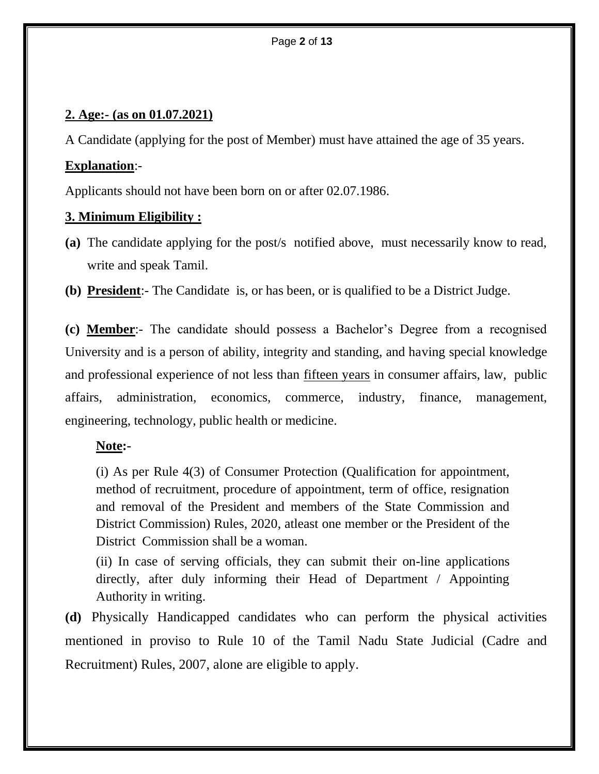## **2. Age:- (as on 01.07.2021)**

A Candidate (applying for the post of Member) must have attained the age of 35 years.

## **Explanation**:-

Applicants should not have been born on or after 02.07.1986.

## **3. Minimum Eligibility :**

- **(a)** The candidate applying for the post/s notified above, must necessarily know to read, write and speak Tamil.
- **(b) President**:- The Candidate is, or has been, or is qualified to be a District Judge.

**(c) Member**:- The candidate should possess a Bachelor's Degree from a recognised University and is a person of ability, integrity and standing, and having special knowledge and professional experience of not less than fifteen years in consumer affairs, law, public affairs, administration, economics, commerce, industry, finance, management, engineering, technology, public health or medicine.

### **Note:-**

(i) As per Rule 4(3) of Consumer Protection (Qualification for appointment, method of recruitment, procedure of appointment, term of office, resignation and removal of the President and members of the State Commission and District Commission) Rules, 2020, atleast one member or the President of the District Commission shall be a woman.

(ii) In case of serving officials, they can submit their on-line applications directly, after duly informing their Head of Department / Appointing Authority in writing.

**(d)** Physically Handicapped candidates who can perform the physical activities mentioned in proviso to Rule 10 of the Tamil Nadu State Judicial (Cadre and Recruitment) Rules, 2007, alone are eligible to apply.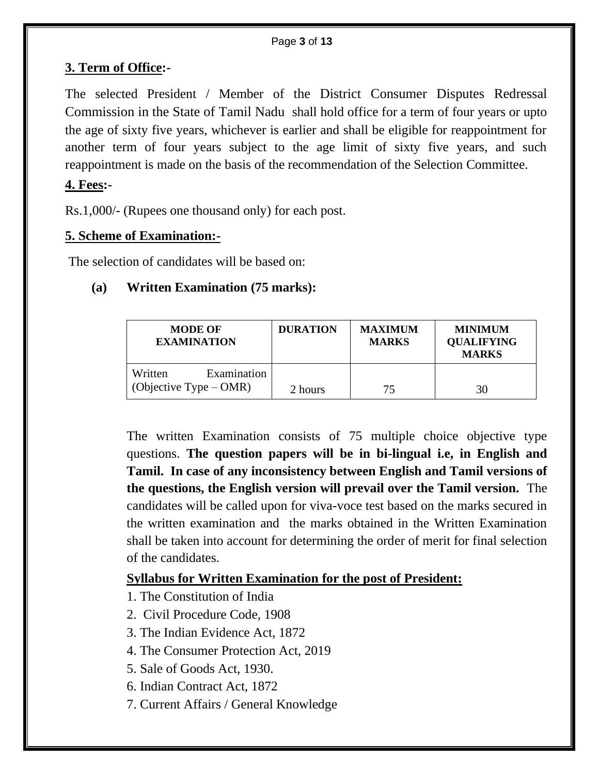# **3. Term of Office:-**

The selected President / Member of the District Consumer Disputes Redressal Commission in the State of Tamil Nadu shall hold office for a term of four years or upto the age of sixty five years, whichever is earlier and shall be eligible for reappointment for another term of four years subject to the age limit of sixty five years, and such reappointment is made on the basis of the recommendation of the Selection Committee.

# **4. Fees:-**

Rs.1,000/- (Rupees one thousand only) for each post.

## **5. Scheme of Examination:-**

The selection of candidates will be based on:

## **(a) Written Examination (75 marks):**

| <b>MODE OF</b><br><b>EXAMINATION</b>               | <b>DURATION</b> | <b>MAXIMUM</b><br><b>MARKS</b> | <b>MINIMUM</b><br><b>QUALIFYING</b><br><b>MARKS</b> |
|----------------------------------------------------|-----------------|--------------------------------|-----------------------------------------------------|
| Examination<br>Written<br>(Objective Type $-$ OMR) | 2 hours         | 75                             | 30                                                  |

The written Examination consists of 75 multiple choice objective type questions. **The question papers will be in bi-lingual i.e, in English and Tamil. In case of any inconsistency between English and Tamil versions of the questions, the English version will prevail over the Tamil version.** The candidates will be called upon for viva-voce test based on the marks secured in the written examination and the marks obtained in the Written Examination shall be taken into account for determining the order of merit for final selection of the candidates.

# **Syllabus for Written Examination for the post of President:**

- 1. The Constitution of India
- 2. Civil Procedure Code, 1908
- 3. The Indian Evidence Act, 1872
- 4. The Consumer Protection Act, 2019
- 5. Sale of Goods Act, 1930.
- 6. Indian Contract Act, 1872
- 7. Current Affairs / General Knowledge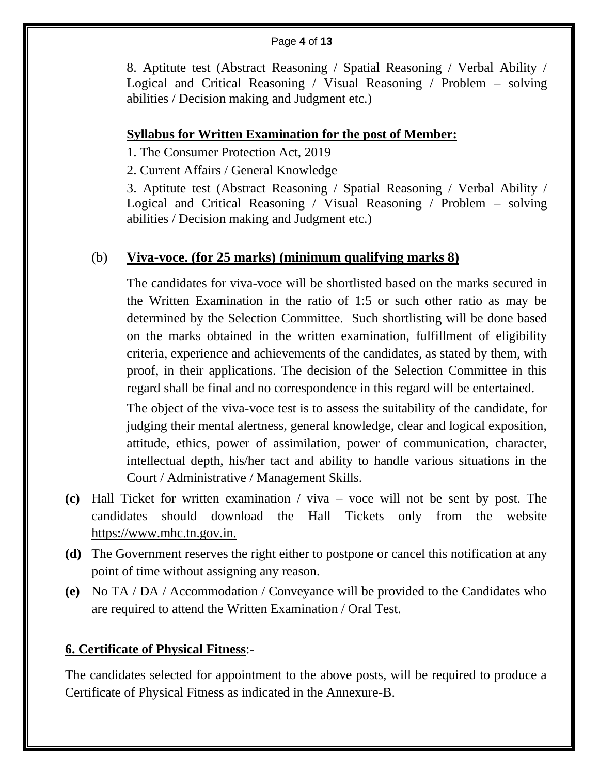### Page **4** of **13**

8. Aptitute test (Abstract Reasoning / Spatial Reasoning / Verbal Ability / Logical and Critical Reasoning / Visual Reasoning / Problem – solving abilities / Decision making and Judgment etc.)

### **Syllabus for Written Examination for the post of Member:**

1. The Consumer Protection Act, 2019

2. Current Affairs / General Knowledge

3. Aptitute test (Abstract Reasoning / Spatial Reasoning / Verbal Ability / Logical and Critical Reasoning / Visual Reasoning / Problem – solving abilities / Decision making and Judgment etc.)

# (b) **Viva-voce. (for 25 marks) (minimum qualifying marks 8)**

The candidates for viva-voce will be shortlisted based on the marks secured in the Written Examination in the ratio of 1:5 or such other ratio as may be determined by the Selection Committee. Such shortlisting will be done based on the marks obtained in the written examination, fulfillment of eligibility criteria, experience and achievements of the candidates, as stated by them, with proof, in their applications. The decision of the Selection Committee in this regard shall be final and no correspondence in this regard will be entertained.

The object of the viva-voce test is to assess the suitability of the candidate, for judging their mental alertness, general knowledge, clear and logical exposition, attitude, ethics, power of assimilation, power of communication, character, intellectual depth, his/her tact and ability to handle various situations in the Court / Administrative / Management Skills.

- **(c)** Hall Ticket for written examination / viva voce will not be sent by post. The candidates should download the Hall Tickets only from the website https://www.mhc.tn.gov.in.
- **(d)** The Government reserves the right either to postpone or cancel this notification at any point of time without assigning any reason.
- **(e)** No TA / DA / Accommodation / Conveyance will be provided to the Candidates who are required to attend the Written Examination / Oral Test.

# **6. Certificate of Physical Fitness**:-

The candidates selected for appointment to the above posts, will be required to produce a Certificate of Physical Fitness as indicated in the Annexure-B.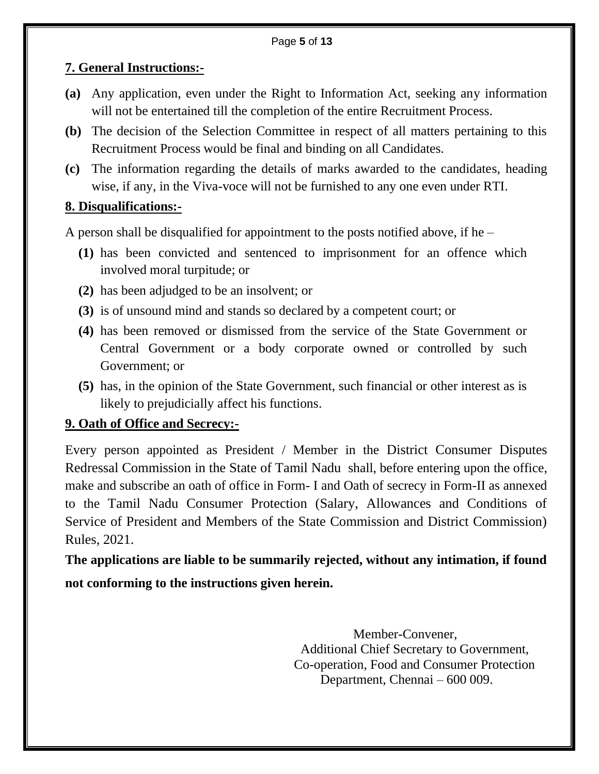## **7. General Instructions:-**

- **(a)** Any application, even under the Right to Information Act, seeking any information will not be entertained till the completion of the entire Recruitment Process.
- **(b)** The decision of the Selection Committee in respect of all matters pertaining to this Recruitment Process would be final and binding on all Candidates.
- **(c)** The information regarding the details of marks awarded to the candidates, heading wise, if any, in the Viva-voce will not be furnished to any one even under RTI.

## **8. Disqualifications:-**

A person shall be disqualified for appointment to the posts notified above, if he –

- **(1)** has been convicted and sentenced to imprisonment for an offence which involved moral turpitude; or
- **(2)** has been adjudged to be an insolvent; or
- **(3)** is of unsound mind and stands so declared by a competent court; or
- **(4)** has been removed or dismissed from the service of the State Government or Central Government or a body corporate owned or controlled by such Government; or
- **(5)** has, in the opinion of the State Government, such financial or other interest as is likely to prejudicially affect his functions.

# **9. Oath of Office and Secrecy:-**

Every person appointed as President / Member in the District Consumer Disputes Redressal Commission in the State of Tamil Nadu shall, before entering upon the office, make and subscribe an oath of office in Form- I and Oath of secrecy in Form-II as annexed to the Tamil Nadu Consumer Protection (Salary, Allowances and Conditions of Service of President and Members of the State Commission and District Commission) Rules, 2021.

**The applications are liable to be summarily rejected, without any intimation, if found not conforming to the instructions given herein.**

> Member-Convener, Additional Chief Secretary to Government, Co-operation, Food and Consumer Protection Department, Chennai – 600 009.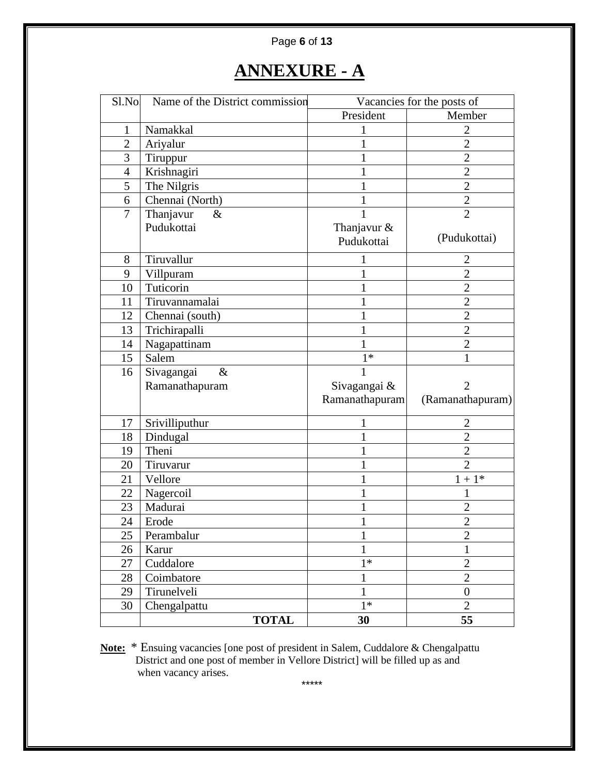### Page **6** of **13**

# **ANNEXURE - A**

| Sl.No          | Name of the District commission | Vacancies for the posts of |                  |
|----------------|---------------------------------|----------------------------|------------------|
|                |                                 | President                  | Member           |
| 1              | Namakkal                        | 1                          | $\overline{2}$   |
| $\overline{2}$ | Ariyalur                        | 1                          | $\overline{2}$   |
| 3              | Tiruppur                        | 1                          | $\overline{2}$   |
| 4              | Krishnagiri                     | 1                          | $\overline{2}$   |
| 5              | The Nilgris                     | 1                          | $\mathbf{2}$     |
| 6              | Chennai (North)                 | 1                          | $\overline{c}$   |
| 7              | Thanjavur<br>&                  | $\mathbf{1}$               | $\overline{2}$   |
|                | Pudukottai                      | Thanjavur &                |                  |
|                |                                 | Pudukottai                 | (Pudukottai)     |
| 8              | Tiruvallur                      | 1                          | $\overline{2}$   |
| 9              | Villpuram                       | 1                          | $\overline{2}$   |
| 10             | Tuticorin                       |                            | $\overline{2}$   |
| 11             | Tiruvannamalai                  | 1                          | $\overline{2}$   |
| 12             | Chennai (south)                 | 1                          | $\overline{2}$   |
| 13             | Trichirapalli                   | 1                          | $\overline{2}$   |
| 14             | Nagapattinam                    | 1                          | $\overline{2}$   |
| 15             | Salem                           | $1*$                       | 1                |
| 16             | Sivagangai<br>$\&$              | $\mathbf{1}$               |                  |
|                | Ramanathapuram                  | Sivagangai &               | $\overline{2}$   |
|                |                                 | Ramanathapuram             | (Ramanathapuram) |
| 17             | Srivilliputhur                  |                            | 2                |
| 18             | Dindugal                        | 1                          | $\overline{2}$   |
| 19             | Theni                           | 1                          | $\overline{2}$   |
| 20             | Tiruvarur                       | 1                          | $\overline{2}$   |
| 21             | Vellore                         | 1                          | $1 + 1*$         |
| 22             | Nagercoil                       |                            |                  |
| 23             | Madurai                         | 1                          | $\overline{2}$   |
| 24             | Erode                           | 1                          | $\overline{2}$   |
| 25             | Perambalur                      | 1                          | $\overline{c}$   |
| 26             | Karur                           | $\mathbf{1}$               | $\mathbf 1$      |
| 27             | Cuddalore                       | $1*$                       | $\overline{2}$   |
| 28             | Coimbatore                      | $\mathbf{1}$               | $\overline{2}$   |
| 29             | Tirunelveli                     | $\mathbf{1}$               | $\boldsymbol{0}$ |
| 30             | Chengalpattu                    | $1*$                       | $\overline{2}$   |
|                | <b>TOTAL</b>                    | 30                         | 55               |

**Note:** \* Ensuing vacancies [one post of president in Salem, Cuddalore & Chengalpattu District and one post of member in Vellore District] will be filled up as and when vacancy arises.

\*\*\*\*\*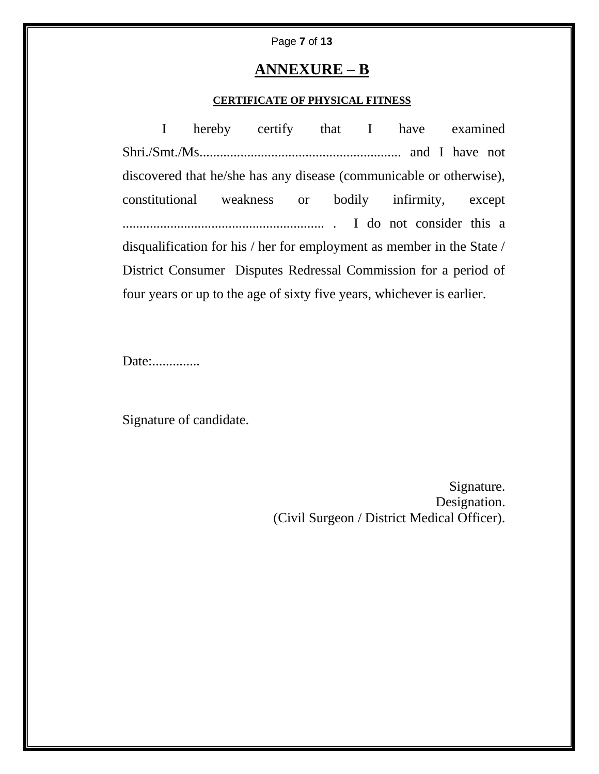### Page **7** of **13**

### **ANNEXURE – B**

### **CERTIFICATE OF PHYSICAL FITNESS**

I hereby certify that I have examined Shri./Smt./Ms........................................................... and I have not discovered that he/she has any disease (communicable or otherwise), constitutional weakness or bodily infirmity, except ........................................................... . I do not consider this a disqualification for his / her for employment as member in the State / District Consumer Disputes Redressal Commission for a period of four years or up to the age of sixty five years, whichever is earlier.

Date:..............

Signature of candidate.

Signature. Designation. (Civil Surgeon / District Medical Officer).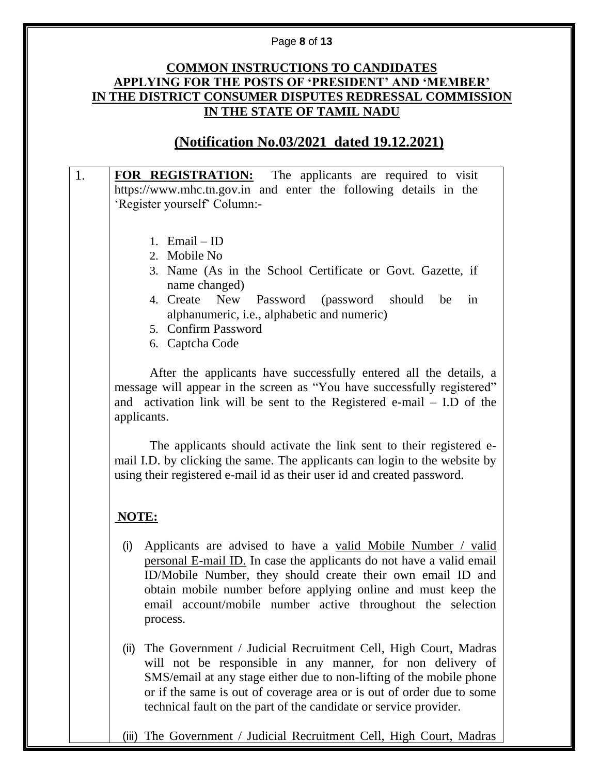### Page **8** of **13**

### **COMMON INSTRUCTIONS TO CANDIDATES APPLYING FOR THE POSTS OF 'PRESIDENT' AND 'MEMBER' IN THE DISTRICT CONSUMER DISPUTES REDRESSAL COMMISSION IN THE STATE OF TAMIL NADU**

# **(Notification No.03/2021 dated 19.12.2021)**

## 1. **FOR REGISTRATION:** The applicants are required to visit https:/[/www.mhc.tn.gov.in](http://www.mhc.tn.gov.in/) and enter the following details in the 'Register yourself' Column:-

- 1. Email ID
- 2. Mobile No
- 3. Name (As in the School Certificate or Govt. Gazette, if name changed)
- 4. Create New Password (password should be in alphanumeric, i.e., alphabetic and numeric)
- 5. Confirm Password
- 6. Captcha Code

After the applicants have successfully entered all the details, a message will appear in the screen as "You have successfully registered" and activation link will be sent to the Registered e-mail – I.D of the applicants.

The applicants should activate the link sent to their registered email I.D. by clicking the same. The applicants can login to the website by using their registered e-mail id as their user id and created password.

# **NOTE:**

- (i) Applicants are advised to have a valid Mobile Number / valid personal E-mail ID. In case the applicants do not have a valid email ID/Mobile Number, they should create their own email ID and obtain mobile number before applying online and must keep the email account/mobile number active throughout the selection process.
- (ii) The Government / Judicial Recruitment Cell, High Court, Madras will not be responsible in any manner, for non delivery of SMS/email at any stage either due to non-lifting of the mobile phone or if the same is out of coverage area or is out of order due to some technical fault on the part of the candidate or service provider.
- (iii) The Government / Judicial Recruitment Cell, High Court, Madras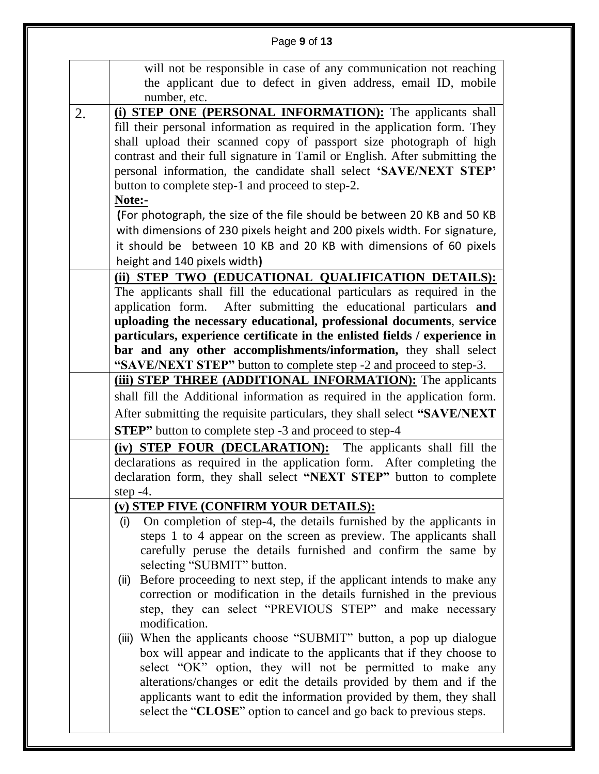|    | Page 9 of 13                                                                                                                                                                                                                                                                                                                                                                                                                    |  |
|----|---------------------------------------------------------------------------------------------------------------------------------------------------------------------------------------------------------------------------------------------------------------------------------------------------------------------------------------------------------------------------------------------------------------------------------|--|
|    | will not be responsible in case of any communication not reaching<br>the applicant due to defect in given address, email ID, mobile<br>number, etc.                                                                                                                                                                                                                                                                             |  |
| 2. | (i) STEP ONE (PERSONAL INFORMATION): The applicants shall<br>fill their personal information as required in the application form. They<br>shall upload their scanned copy of passport size photograph of high<br>contrast and their full signature in Tamil or English. After submitting the<br>personal information, the candidate shall select 'SAVE/NEXT STEP'<br>button to complete step-1 and proceed to step-2.<br>Note:- |  |
|    | (For photograph, the size of the file should be between 20 KB and 50 KB<br>with dimensions of 230 pixels height and 200 pixels width. For signature,<br>it should be between 10 KB and 20 KB with dimensions of 60 pixels<br>height and 140 pixels width)                                                                                                                                                                       |  |
|    | (ii) STEP TWO (EDUCATIONAL QUALIFICATION DETAILS):<br>The applicants shall fill the educational particulars as required in the<br>After submitting the educational particulars and<br>application form.<br>uploading the necessary educational, professional documents, service<br>particulars, experience certificate in the enlisted fields / experience in                                                                   |  |
|    | bar and any other accomplishments/information, they shall select<br>"SAVE/NEXT STEP" button to complete step -2 and proceed to step-3.                                                                                                                                                                                                                                                                                          |  |
|    | (iii) STEP THREE (ADDITIONAL INFORMATION): The applicants                                                                                                                                                                                                                                                                                                                                                                       |  |
|    | shall fill the Additional information as required in the application form.                                                                                                                                                                                                                                                                                                                                                      |  |
|    | After submitting the requisite particulars, they shall select "SAVE/NEXT"                                                                                                                                                                                                                                                                                                                                                       |  |
|    | <b>STEP</b> " button to complete step -3 and proceed to step-4<br>(iv) STEP FOUR (DECLARATION): The applicants shall fill the                                                                                                                                                                                                                                                                                                   |  |
|    | declarations as required in the application form. After completing the<br>declaration form, they shall select "NEXT STEP" button to complete<br>step $-4$ .                                                                                                                                                                                                                                                                     |  |
|    | (v) STEP FIVE (CONFIRM YOUR DETAILS):                                                                                                                                                                                                                                                                                                                                                                                           |  |
|    | On completion of step-4, the details furnished by the applicants in<br>(i)<br>steps 1 to 4 appear on the screen as preview. The applicants shall<br>carefully peruse the details furnished and confirm the same by<br>selecting "SUBMIT" button.                                                                                                                                                                                |  |
|    | Before proceeding to next step, if the applicant intends to make any<br>(ii)<br>correction or modification in the details furnished in the previous<br>step, they can select "PREVIOUS STEP" and make necessary<br>modification.                                                                                                                                                                                                |  |
|    | (iii) When the applicants choose "SUBMIT" button, a pop up dialogue<br>box will appear and indicate to the applicants that if they choose to<br>select "OK" option, they will not be permitted to make any<br>alterations/changes or edit the details provided by them and if the<br>applicants want to edit the information provided by them, they shall<br>select the "CLOSE" option to cancel and go back to previous steps. |  |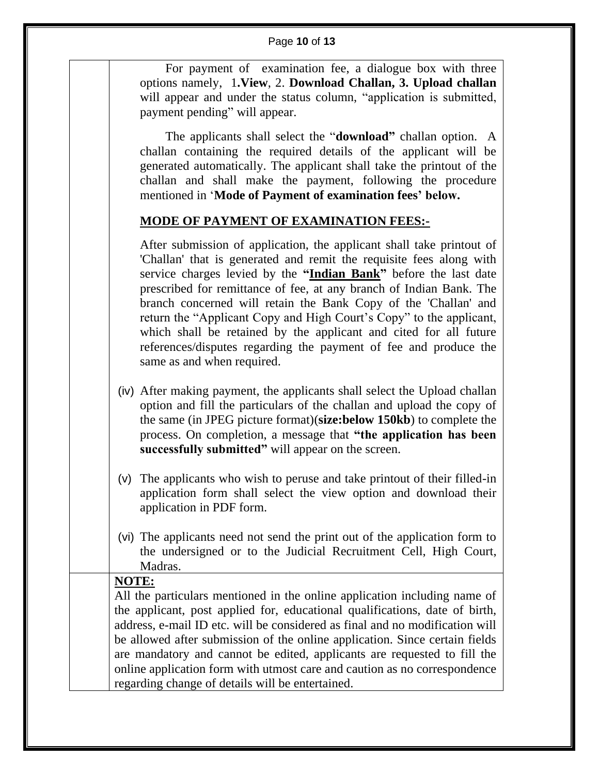### Page **10** of **13**

For payment of examination fee, a dialogue box with three options namely, 1**.View**, 2. **Download Challan, 3. Upload challan** will appear and under the status column, "application is submitted, payment pending" will appear.

 The applicants shall select the "**download"** challan option. A challan containing the required details of the applicant will be generated automatically. The applicant shall take the printout of the challan and shall make the payment, following the procedure mentioned in '**Mode of Payment of examination fees' below.**

### **MODE OF PAYMENT OF EXAMINATION FEES:-**

After submission of application, the applicant shall take printout of 'Challan' that is generated and remit the requisite fees along with service charges levied by the **"Indian Bank"** before the last date prescribed for remittance of fee, at any branch of Indian Bank. The branch concerned will retain the Bank Copy of the 'Challan' and return the "Applicant Copy and High Court's Copy" to the applicant, which shall be retained by the applicant and cited for all future references/disputes regarding the payment of fee and produce the same as and when required.

- (iv) After making payment, the applicants shall select the Upload challan option and fill the particulars of the challan and upload the copy of the same (in JPEG picture format)(**size:below 150kb**) to complete the process. On completion, a message that **"the application has been successfully submitted"** will appear on the screen.
- (v) The applicants who wish to peruse and take printout of their filled-in application form shall select the view option and download their application in PDF form.
- (vi) The applicants need not send the print out of the application form to the undersigned or to the Judicial Recruitment Cell, High Court, Madras.

### **NOTE:**

All the particulars mentioned in the online application including name of the applicant, post applied for, educational qualifications, date of birth, address, e-mail ID etc. will be considered as final and no modification will be allowed after submission of the online application. Since certain fields are mandatory and cannot be edited, applicants are requested to fill the online application form with utmost care and caution as no correspondence regarding change of details will be entertained.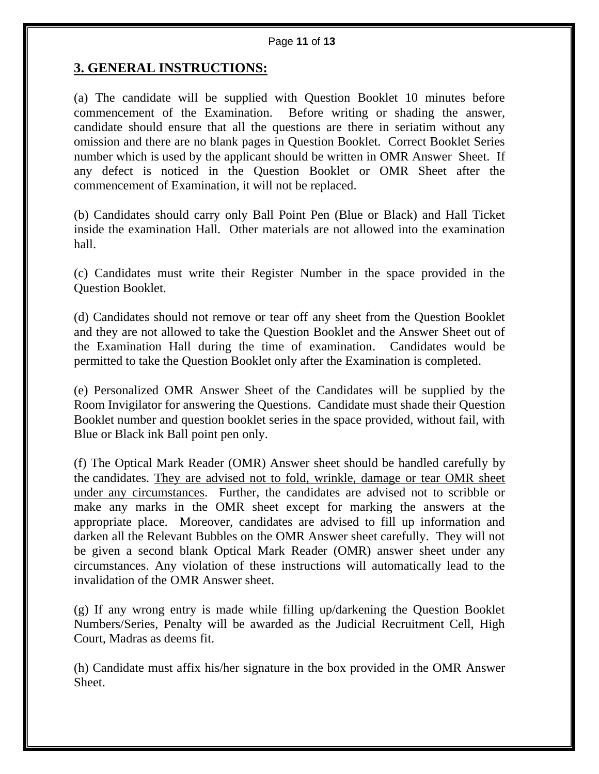### **3. GENERAL INSTRUCTIONS:**

(a) The candidate will be supplied with Question Booklet 10 minutes before commencement of the Examination. Before writing or shading the answer, candidate should ensure that all the questions are there in seriatim without any omission and there are no blank pages in Question Booklet. Correct Booklet Series number which is used by the applicant should be written in OMR Answer Sheet. If any defect is noticed in the Question Booklet or OMR Sheet after the commencement of Examination, it will not be replaced.

(b) Candidates should carry only Ball Point Pen (Blue or Black) and Hall Ticket inside the examination Hall. Other materials are not allowed into the examination hall.

(c) Candidates must write their Register Number in the space provided in the Question Booklet.

(d) Candidates should not remove or tear off any sheet from the Question Booklet and they are not allowed to take the Question Booklet and the Answer Sheet out of the Examination Hall during the time of examination. Candidates would be permitted to take the Question Booklet only after the Examination is completed.

(e) Personalized OMR Answer Sheet of the Candidates will be supplied by the Room Invigilator for answering the Questions. Candidate must shade their Question Booklet number and question booklet series in the space provided, without fail, with Blue or Black ink Ball point pen only.

(f) The Optical Mark Reader (OMR) Answer sheet should be handled carefully by the candidates. They are advised not to fold, wrinkle, damage or tear OMR sheet under any circumstances. Further, the candidates are advised not to scribble or make any marks in the OMR sheet except for marking the answers at the appropriate place. Moreover, candidates are advised to fill up information and darken all the Relevant Bubbles on the OMR Answer sheet carefully. They will not be given a second blank Optical Mark Reader (OMR) answer sheet under any circumstances. Any violation of these instructions will automatically lead to the invalidation of the OMR Answer sheet.

(g) If any wrong entry is made while filling up/darkening the Question Booklet Numbers/Series, Penalty will be awarded as the Judicial Recruitment Cell, High Court, Madras as deems fit.

(h) Candidate must affix his/her signature in the box provided in the OMR Answer Sheet.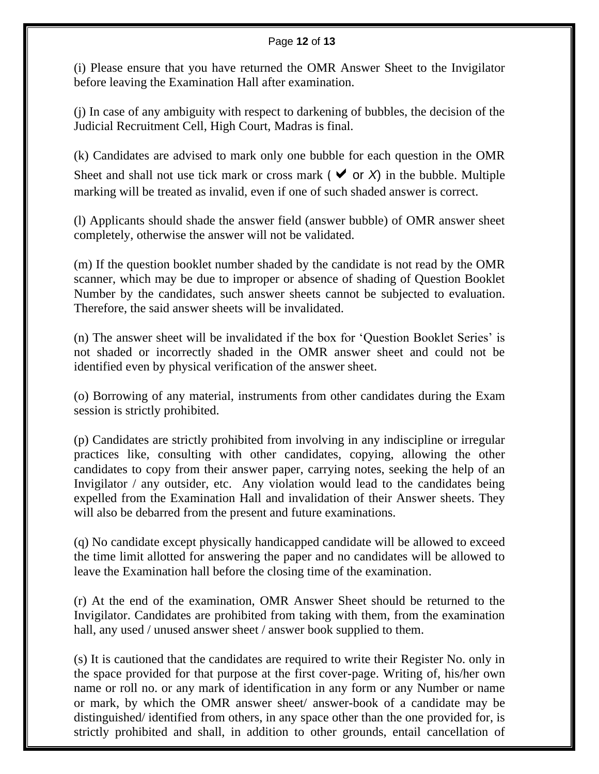### Page **12** of **13**

(i) Please ensure that you have returned the OMR Answer Sheet to the Invigilator before leaving the Examination Hall after examination.

(j) In case of any ambiguity with respect to darkening of bubbles, the decision of the Judicial Recruitment Cell, High Court, Madras is final.

(k) Candidates are advised to mark only one bubble for each question in the OMR Sheet and shall not use tick mark or cross mark ( $\vee$  or *X*) in the bubble. Multiple marking will be treated as invalid, even if one of such shaded answer is correct.

(l) Applicants should shade the answer field (answer bubble) of OMR answer sheet completely, otherwise the answer will not be validated.

(m) If the question booklet number shaded by the candidate is not read by the OMR scanner, which may be due to improper or absence of shading of Question Booklet Number by the candidates, such answer sheets cannot be subjected to evaluation. Therefore, the said answer sheets will be invalidated.

(n) The answer sheet will be invalidated if the box for 'Question Booklet Series' is not shaded or incorrectly shaded in the OMR answer sheet and could not be identified even by physical verification of the answer sheet.

(o) Borrowing of any material, instruments from other candidates during the Exam session is strictly prohibited.

(p) Candidates are strictly prohibited from involving in any indiscipline or irregular practices like, consulting with other candidates, copying, allowing the other candidates to copy from their answer paper, carrying notes, seeking the help of an Invigilator / any outsider, etc. Any violation would lead to the candidates being expelled from the Examination Hall and invalidation of their Answer sheets. They will also be debarred from the present and future examinations.

(q) No candidate except physically handicapped candidate will be allowed to exceed the time limit allotted for answering the paper and no candidates will be allowed to leave the Examination hall before the closing time of the examination.

(r) At the end of the examination, OMR Answer Sheet should be returned to the Invigilator. Candidates are prohibited from taking with them, from the examination hall, any used / unused answer sheet / answer book supplied to them.

(s) It is cautioned that the candidates are required to write their Register No. only in the space provided for that purpose at the first cover-page. Writing of, his/her own name or roll no. or any mark of identification in any form or any Number or name or mark, by which the OMR answer sheet/ answer-book of a candidate may be distinguished/ identified from others, in any space other than the one provided for, is strictly prohibited and shall, in addition to other grounds, entail cancellation of